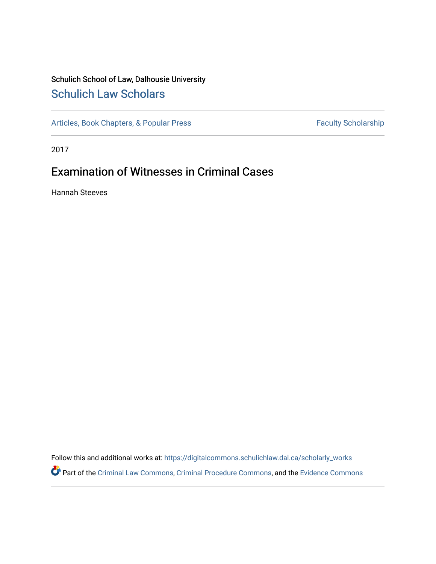## Schulich School of Law, Dalhousie University [Schulich Law Scholars](https://digitalcommons.schulichlaw.dal.ca/)

[Articles, Book Chapters, & Popular Press](https://digitalcommons.schulichlaw.dal.ca/scholarly_works) Faculty Scholarship

2017

## Examination of Witnesses in Criminal Cases

Hannah Steeves

Follow this and additional works at: [https://digitalcommons.schulichlaw.dal.ca/scholarly\\_works](https://digitalcommons.schulichlaw.dal.ca/scholarly_works?utm_source=digitalcommons.schulichlaw.dal.ca%2Fscholarly_works%2F742&utm_medium=PDF&utm_campaign=PDFCoverPages)  Part of the [Criminal Law Commons,](http://network.bepress.com/hgg/discipline/912?utm_source=digitalcommons.schulichlaw.dal.ca%2Fscholarly_works%2F742&utm_medium=PDF&utm_campaign=PDFCoverPages) [Criminal Procedure Commons,](http://network.bepress.com/hgg/discipline/1073?utm_source=digitalcommons.schulichlaw.dal.ca%2Fscholarly_works%2F742&utm_medium=PDF&utm_campaign=PDFCoverPages) and the [Evidence Commons](http://network.bepress.com/hgg/discipline/601?utm_source=digitalcommons.schulichlaw.dal.ca%2Fscholarly_works%2F742&utm_medium=PDF&utm_campaign=PDFCoverPages)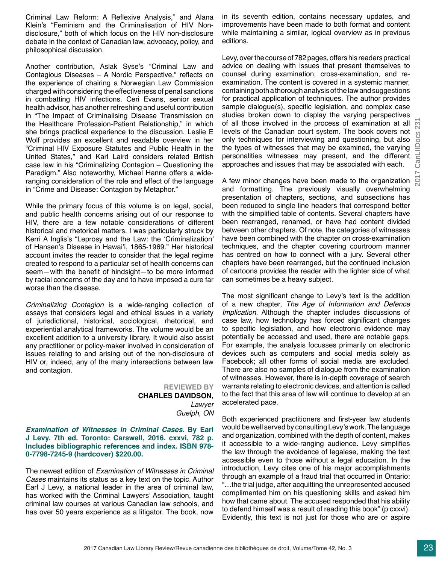2017 CanLIIDocs 231CanLIIDocs  $\overline{\phantom{0}}$ 

Criminal Law Reform: A Reflexive Analysis," and Alana Klein's "Feminism and the Criminalisation of HIV Nondisclosure," both of which focus on the HIV non-disclosure debate in the context of Canadian law, advocacy, policy, and philosophical discussion.

Another contribution, Aslak Syse's "Criminal Law and Contagious Diseases – A Nordic Perspective," reflects on the experience of chairing a Norwegian Law Commission charged with considering the effectiveness of penal sanctions in combatting HIV infections. Ceri Evans, senior sexual health advisor, has another refreshing and useful contribution in "The Impact of Criminalising Disease Transmission on the Healthcare Profession-Patient Relationship," in which she brings practical experience to the discussion. Leslie E Wolf provides an excellent and readable overview in her "Criminal HIV Exposure Statutes and Public Health in the United States," and Karl Laird considers related British case law in his "Criminalizing Contagion – Questioning the Paradigm." Also noteworthy, Michael Hanne offers a wideranging consideration of the role and effect of the language in "Crime and Disease: Contagion by Metaphor."

While the primary focus of this volume is on legal, social, and public health concerns arising out of our response to HIV, there are a few notable considerations of different historical and rhetorical matters. I was particularly struck by Kerri A Inglis's "Leprosy and the Law: the 'Criminalization' of Hansen's Disease in Hawai'i, 1865-1969." Her historical account invites the reader to consider that the legal regime created to respond to a particular set of health concerns can seem—with the benefit of hindsight—to be more informed by racial concerns of the day and to have imposed a cure far worse than the disease.

Criminalizing Contagion is a wide-ranging collection of essays that considers legal and ethical issues in a variety of jurisdictional, historical, sociological, rhetorical, and experiential analytical frameworks. The volume would be an excellent addition to a university library. It would also assist any practitioner or policy-maker involved in consideration of issues relating to and arising out of the non-disclosure of HIV or, indeed, any of the many intersections between law and contagion.

> **REVIEWED BY CHARLES DAVIDSON,**  *Lawyer Guelph*, *ON*

*Examination of Witnesses in Criminal Cases.* **By Earl J Levy. 7th ed. Toronto: Carswell, 2016. cxxvi, 782 p. Includes bibliographic references and index. ISBN 978- 0-7798-7245-9 (hardcover) \$220.00.**

The newest edition of *Examination of Witnesses in Criminal Cases* maintains its status as a key text on the topic. Author Earl J Levy, a national leader in the area of criminal law, has worked with the Criminal Lawyers' Association, taught criminal law courses at various Canadian law schools, and has over 50 years experience as a litigator. The book, now

in its seventh edition, contains necessary updates, and improvements have been made to both format and content while maintaining a similar, logical overview as in previous editions.

Levy, over the course of 782 pages, offers his readers practical advice on dealing with issues that present themselves to counsel during examination, cross-examination, and reexamination. The content is covered in a systemic manner, containing both a thorough analysis of the law and suggestions for practical application of techniques. The author provides sample dialogue(s), specific legislation, and complex case studies broken down to display the varying perspectives of all those involved in the process of examination at all  $\overline{N}$ levels of the Canadian court system. The book covers not only techniques for interviewing and questioning, but also the types of witnesses that may be examined, the varying personalities witnesses may present, and the different approaches and issues that may be associated with each.

A few minor changes have been made to the organization and formatting. The previously visually overwhelming presentation of chapters, sections, and subsections has been reduced to single line headers that correspond better with the simplified table of contents. Several chapters have been rearranged, renamed, or have had content divided between other chapters. Of note, the categories of witnesses have been combined with the chapter on cross-examination techniques, and the chapter covering courtroom manner has centred on how to connect with a jury. Several other chapters have been rearranged, but the continued inclusion of cartoons provides the reader with the lighter side of what can sometimes be a heavy subject.

The most significant change to Levy's text is the addition of a new chapter, *The Age of Information and Defence Implication*. Although the chapter includes discussions of case law, how technology has forced significant changes to specific legislation, and how electronic evidence may potentially be accessed and used, there are notable gaps. For example, the analysis focusses primarily on electronic devices such as computers and social media solely as Facebook; all other forms of social media are excluded. There are also no samples of dialogue from the examination of witnesses. However, there is in-depth coverage of search warrants relating to electronic devices, and attention is called to the fact that this area of law will continue to develop at an accelerated pace.

Both experienced practitioners and first-year law students would be well served by consulting Levy's work. The language and organization, combined with the depth of content, makes it accessible to a wide-ranging audience. Levy simplifies the law through the avoidance of legalese, making the text accessible even to those without a legal education. In the introduction, Levy cites one of his major accomplishments through an example of a fraud trial that occurred in Ontario: "…the trial judge, after acquitting the unrepresented accused complimented him on his questioning skills and asked him how that came about. The accused responded that his ability to defend himself was a result of reading this book" (p cxxvi). Evidently, this text is not just for those who are or aspire